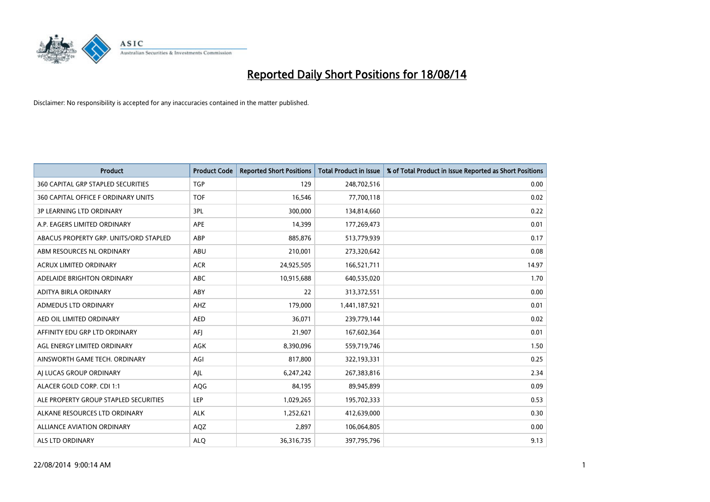

| <b>Product</b>                            | <b>Product Code</b> | <b>Reported Short Positions</b> | <b>Total Product in Issue</b> | % of Total Product in Issue Reported as Short Positions |
|-------------------------------------------|---------------------|---------------------------------|-------------------------------|---------------------------------------------------------|
| <b>360 CAPITAL GRP STAPLED SECURITIES</b> | <b>TGP</b>          | 129                             | 248,702,516                   | 0.00                                                    |
| 360 CAPITAL OFFICE F ORDINARY UNITS       | <b>TOF</b>          | 16,546                          | 77,700,118                    | 0.02                                                    |
| 3P LEARNING LTD ORDINARY                  | 3PL                 | 300,000                         | 134,814,660                   | 0.22                                                    |
| A.P. EAGERS LIMITED ORDINARY              | APE                 | 14,399                          | 177,269,473                   | 0.01                                                    |
| ABACUS PROPERTY GRP. UNITS/ORD STAPLED    | ABP                 | 885,876                         | 513,779,939                   | 0.17                                                    |
| ABM RESOURCES NL ORDINARY                 | ABU                 | 210,001                         | 273,320,642                   | 0.08                                                    |
| <b>ACRUX LIMITED ORDINARY</b>             | <b>ACR</b>          | 24,925,505                      | 166,521,711                   | 14.97                                                   |
| ADELAIDE BRIGHTON ORDINARY                | ABC                 | 10,915,688                      | 640,535,020                   | 1.70                                                    |
| ADITYA BIRLA ORDINARY                     | ABY                 | 22                              | 313,372,551                   | 0.00                                                    |
| ADMEDUS LTD ORDINARY                      | AHZ                 | 179,000                         | 1,441,187,921                 | 0.01                                                    |
| AED OIL LIMITED ORDINARY                  | <b>AED</b>          | 36,071                          | 239,779,144                   | 0.02                                                    |
| AFFINITY EDU GRP LTD ORDINARY             | AFJ                 | 21,907                          | 167,602,364                   | 0.01                                                    |
| AGL ENERGY LIMITED ORDINARY               | AGK                 | 8,390,096                       | 559,719,746                   | 1.50                                                    |
| AINSWORTH GAME TECH. ORDINARY             | AGI                 | 817,800                         | 322,193,331                   | 0.25                                                    |
| AI LUCAS GROUP ORDINARY                   | AJL                 | 6,247,242                       | 267,383,816                   | 2.34                                                    |
| ALACER GOLD CORP. CDI 1:1                 | AQG                 | 84,195                          | 89,945,899                    | 0.09                                                    |
| ALE PROPERTY GROUP STAPLED SECURITIES     | LEP                 | 1,029,265                       | 195,702,333                   | 0.53                                                    |
| ALKANE RESOURCES LTD ORDINARY             | <b>ALK</b>          | 1,252,621                       | 412,639,000                   | 0.30                                                    |
| <b>ALLIANCE AVIATION ORDINARY</b>         | AQZ                 | 2,897                           | 106,064,805                   | 0.00                                                    |
| ALS LTD ORDINARY                          | <b>ALQ</b>          | 36,316,735                      | 397,795,796                   | 9.13                                                    |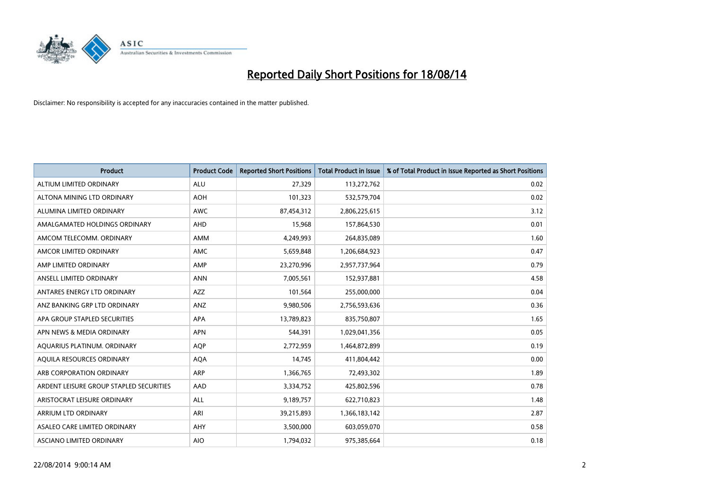

| <b>Product</b>                          | <b>Product Code</b> | <b>Reported Short Positions</b> | <b>Total Product in Issue</b> | % of Total Product in Issue Reported as Short Positions |
|-----------------------------------------|---------------------|---------------------------------|-------------------------------|---------------------------------------------------------|
| ALTIUM LIMITED ORDINARY                 | <b>ALU</b>          | 27,329                          | 113,272,762                   | 0.02                                                    |
| ALTONA MINING LTD ORDINARY              | <b>AOH</b>          | 101,323                         | 532,579,704                   | 0.02                                                    |
| ALUMINA LIMITED ORDINARY                | AWC                 | 87,454,312                      | 2,806,225,615                 | 3.12                                                    |
| AMALGAMATED HOLDINGS ORDINARY           | <b>AHD</b>          | 15,968                          | 157,864,530                   | 0.01                                                    |
| AMCOM TELECOMM, ORDINARY                | <b>AMM</b>          | 4,249,993                       | 264,835,089                   | 1.60                                                    |
| AMCOR LIMITED ORDINARY                  | AMC                 | 5,659,848                       | 1,206,684,923                 | 0.47                                                    |
| AMP LIMITED ORDINARY                    | AMP                 | 23,270,996                      | 2,957,737,964                 | 0.79                                                    |
| ANSELL LIMITED ORDINARY                 | <b>ANN</b>          | 7,005,561                       | 152,937,881                   | 4.58                                                    |
| ANTARES ENERGY LTD ORDINARY             | AZZ                 | 101,564                         | 255,000,000                   | 0.04                                                    |
| ANZ BANKING GRP LTD ORDINARY            | ANZ                 | 9,980,506                       | 2,756,593,636                 | 0.36                                                    |
| APA GROUP STAPLED SECURITIES            | APA                 | 13,789,823                      | 835,750,807                   | 1.65                                                    |
| APN NEWS & MEDIA ORDINARY               | <b>APN</b>          | 544,391                         | 1,029,041,356                 | 0.05                                                    |
| AQUARIUS PLATINUM. ORDINARY             | <b>AQP</b>          | 2,772,959                       | 1,464,872,899                 | 0.19                                                    |
| AQUILA RESOURCES ORDINARY               | <b>AQA</b>          | 14,745                          | 411,804,442                   | 0.00                                                    |
| ARB CORPORATION ORDINARY                | <b>ARP</b>          | 1,366,765                       | 72,493,302                    | 1.89                                                    |
| ARDENT LEISURE GROUP STAPLED SECURITIES | AAD                 | 3,334,752                       | 425,802,596                   | 0.78                                                    |
| ARISTOCRAT LEISURE ORDINARY             | ALL                 | 9,189,757                       | 622,710,823                   | 1.48                                                    |
| ARRIUM LTD ORDINARY                     | ARI                 | 39,215,893                      | 1,366,183,142                 | 2.87                                                    |
| ASALEO CARE LIMITED ORDINARY            | AHY                 | 3,500,000                       | 603,059,070                   | 0.58                                                    |
| ASCIANO LIMITED ORDINARY                | <b>AIO</b>          | 1,794,032                       | 975,385,664                   | 0.18                                                    |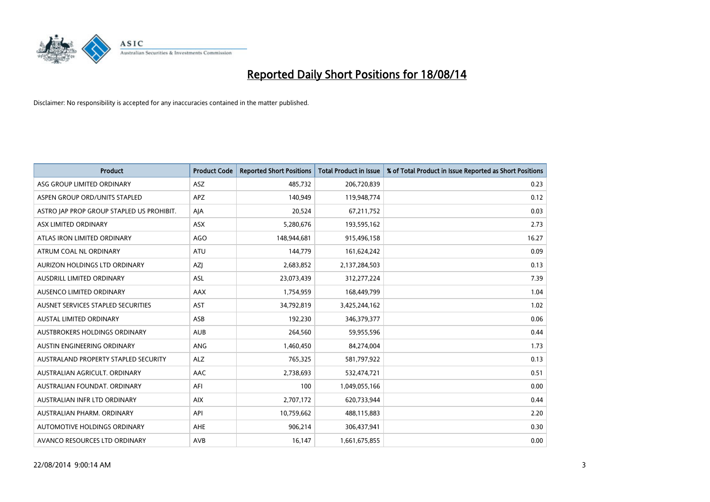

| <b>Product</b>                            | <b>Product Code</b> | <b>Reported Short Positions</b> | <b>Total Product in Issue</b> | % of Total Product in Issue Reported as Short Positions |
|-------------------------------------------|---------------------|---------------------------------|-------------------------------|---------------------------------------------------------|
| ASG GROUP LIMITED ORDINARY                | <b>ASZ</b>          | 485,732                         | 206,720,839                   | 0.23                                                    |
| ASPEN GROUP ORD/UNITS STAPLED             | <b>APZ</b>          | 140,949                         | 119,948,774                   | 0.12                                                    |
| ASTRO JAP PROP GROUP STAPLED US PROHIBIT. | AJA                 | 20,524                          | 67,211,752                    | 0.03                                                    |
| ASX LIMITED ORDINARY                      | ASX                 | 5,280,676                       | 193,595,162                   | 2.73                                                    |
| ATLAS IRON LIMITED ORDINARY               | <b>AGO</b>          | 148,944,681                     | 915,496,158                   | 16.27                                                   |
| ATRUM COAL NL ORDINARY                    | <b>ATU</b>          | 144,779                         | 161,624,242                   | 0.09                                                    |
| AURIZON HOLDINGS LTD ORDINARY             | AZJ                 | 2,683,852                       | 2,137,284,503                 | 0.13                                                    |
| AUSDRILL LIMITED ORDINARY                 | ASL                 | 23,073,439                      | 312,277,224                   | 7.39                                                    |
| AUSENCO LIMITED ORDINARY                  | AAX                 | 1,754,959                       | 168,449,799                   | 1.04                                                    |
| AUSNET SERVICES STAPLED SECURITIES        | <b>AST</b>          | 34,792,819                      | 3,425,244,162                 | 1.02                                                    |
| AUSTAL LIMITED ORDINARY                   | ASB                 | 192,230                         | 346,379,377                   | 0.06                                                    |
| <b>AUSTBROKERS HOLDINGS ORDINARY</b>      | <b>AUB</b>          | 264,560                         | 59,955,596                    | 0.44                                                    |
| AUSTIN ENGINEERING ORDINARY               | ANG                 | 1,460,450                       | 84,274,004                    | 1.73                                                    |
| AUSTRALAND PROPERTY STAPLED SECURITY      | <b>ALZ</b>          | 765,325                         | 581,797,922                   | 0.13                                                    |
| AUSTRALIAN AGRICULT, ORDINARY             | AAC                 | 2,738,693                       | 532,474,721                   | 0.51                                                    |
| AUSTRALIAN FOUNDAT, ORDINARY              | AFI                 | 100                             | 1,049,055,166                 | 0.00                                                    |
| AUSTRALIAN INFR LTD ORDINARY              | <b>AIX</b>          | 2,707,172                       | 620,733,944                   | 0.44                                                    |
| AUSTRALIAN PHARM, ORDINARY                | API                 | 10,759,662                      | 488,115,883                   | 2.20                                                    |
| AUTOMOTIVE HOLDINGS ORDINARY              | <b>AHE</b>          | 906,214                         | 306,437,941                   | 0.30                                                    |
| AVANCO RESOURCES LTD ORDINARY             | AVB                 | 16,147                          | 1,661,675,855                 | 0.00                                                    |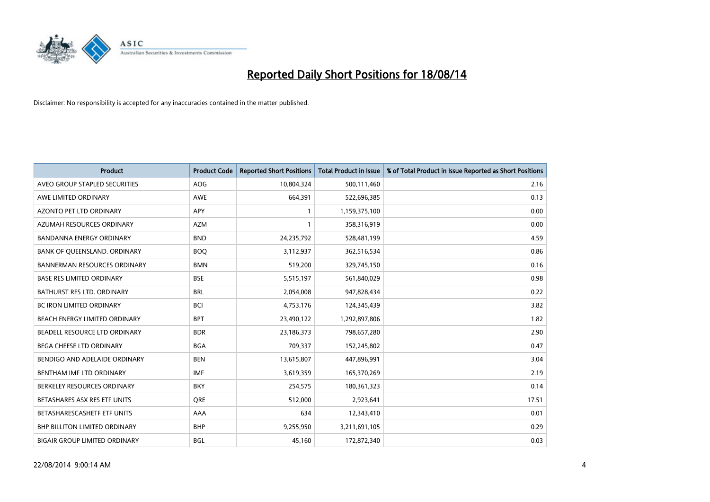

| <b>Product</b>                       | <b>Product Code</b> | <b>Reported Short Positions</b> | <b>Total Product in Issue</b> | % of Total Product in Issue Reported as Short Positions |
|--------------------------------------|---------------------|---------------------------------|-------------------------------|---------------------------------------------------------|
| AVEO GROUP STAPLED SECURITIES        | <b>AOG</b>          | 10,804,324                      | 500,111,460                   | 2.16                                                    |
| AWE LIMITED ORDINARY                 | AWE                 | 664,391                         | 522,696,385                   | 0.13                                                    |
| <b>AZONTO PET LTD ORDINARY</b>       | APY                 | 1                               | 1,159,375,100                 | 0.00                                                    |
| AZUMAH RESOURCES ORDINARY            | <b>AZM</b>          | $\mathbf{1}$                    | 358,316,919                   | 0.00                                                    |
| <b>BANDANNA ENERGY ORDINARY</b>      | <b>BND</b>          | 24,235,792                      | 528,481,199                   | 4.59                                                    |
| BANK OF QUEENSLAND. ORDINARY         | <b>BOO</b>          | 3,112,937                       | 362,516,534                   | 0.86                                                    |
| <b>BANNERMAN RESOURCES ORDINARY</b>  | <b>BMN</b>          | 519,200                         | 329,745,150                   | 0.16                                                    |
| <b>BASE RES LIMITED ORDINARY</b>     | <b>BSE</b>          | 5,515,197                       | 561,840,029                   | 0.98                                                    |
| <b>BATHURST RES LTD. ORDINARY</b>    | <b>BRL</b>          | 2,054,008                       | 947,828,434                   | 0.22                                                    |
| <b>BC IRON LIMITED ORDINARY</b>      | <b>BCI</b>          | 4,753,176                       | 124,345,439                   | 3.82                                                    |
| BEACH ENERGY LIMITED ORDINARY        | <b>BPT</b>          | 23,490,122                      | 1,292,897,806                 | 1.82                                                    |
| BEADELL RESOURCE LTD ORDINARY        | <b>BDR</b>          | 23,186,373                      | 798,657,280                   | 2.90                                                    |
| <b>BEGA CHEESE LTD ORDINARY</b>      | <b>BGA</b>          | 709,337                         | 152,245,802                   | 0.47                                                    |
| BENDIGO AND ADELAIDE ORDINARY        | <b>BEN</b>          | 13,615,807                      | 447,896,991                   | 3.04                                                    |
| BENTHAM IMF LTD ORDINARY             | <b>IMF</b>          | 3,619,359                       | 165,370,269                   | 2.19                                                    |
| BERKELEY RESOURCES ORDINARY          | <b>BKY</b>          | 254,575                         | 180,361,323                   | 0.14                                                    |
| BETASHARES ASX RES ETF UNITS         | <b>ORE</b>          | 512,000                         | 2,923,641                     | 17.51                                                   |
| BETASHARESCASHETF ETF UNITS          | AAA                 | 634                             | 12,343,410                    | 0.01                                                    |
| <b>BHP BILLITON LIMITED ORDINARY</b> | <b>BHP</b>          | 9,255,950                       | 3,211,691,105                 | 0.29                                                    |
| <b>BIGAIR GROUP LIMITED ORDINARY</b> | <b>BGL</b>          | 45,160                          | 172,872,340                   | 0.03                                                    |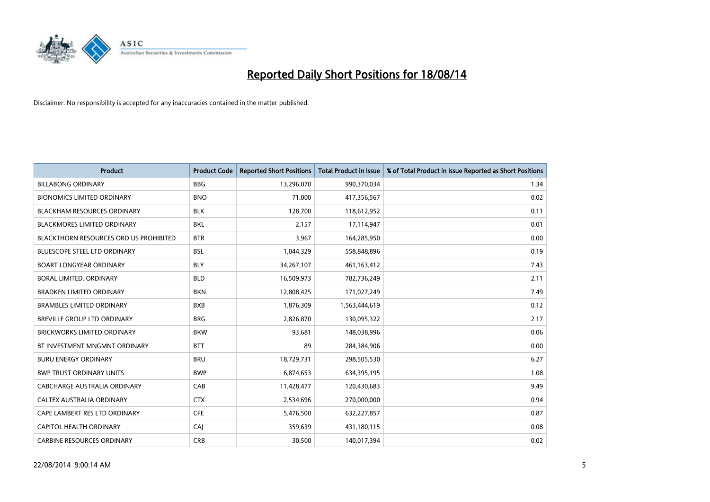

| Product                                | <b>Product Code</b> | <b>Reported Short Positions</b> | <b>Total Product in Issue</b> | % of Total Product in Issue Reported as Short Positions |
|----------------------------------------|---------------------|---------------------------------|-------------------------------|---------------------------------------------------------|
| <b>BILLABONG ORDINARY</b>              | <b>BBG</b>          | 13,296,070                      | 990,370,034                   | 1.34                                                    |
| <b>BIONOMICS LIMITED ORDINARY</b>      | <b>BNO</b>          | 71,000                          | 417,356,567                   | 0.02                                                    |
| <b>BLACKHAM RESOURCES ORDINARY</b>     | <b>BLK</b>          | 128,700                         | 118,612,952                   | 0.11                                                    |
| <b>BLACKMORES LIMITED ORDINARY</b>     | BKL                 | 2,157                           | 17,114,947                    | 0.01                                                    |
| BLACKTHORN RESOURCES ORD US PROHIBITED | <b>BTR</b>          | 3,967                           | 164,285,950                   | 0.00                                                    |
| <b>BLUESCOPE STEEL LTD ORDINARY</b>    | <b>BSL</b>          | 1,044,329                       | 558,848,896                   | 0.19                                                    |
| <b>BOART LONGYEAR ORDINARY</b>         | <b>BLY</b>          | 34,267,107                      | 461,163,412                   | 7.43                                                    |
| <b>BORAL LIMITED, ORDINARY</b>         | <b>BLD</b>          | 16,509,973                      | 782,736,249                   | 2.11                                                    |
| <b>BRADKEN LIMITED ORDINARY</b>        | <b>BKN</b>          | 12,808,425                      | 171,027,249                   | 7.49                                                    |
| <b>BRAMBLES LIMITED ORDINARY</b>       | <b>BXB</b>          | 1,876,309                       | 1,563,444,619                 | 0.12                                                    |
| <b>BREVILLE GROUP LTD ORDINARY</b>     | <b>BRG</b>          | 2,826,870                       | 130,095,322                   | 2.17                                                    |
| <b>BRICKWORKS LIMITED ORDINARY</b>     | <b>BKW</b>          | 93,681                          | 148,038,996                   | 0.06                                                    |
| BT INVESTMENT MNGMNT ORDINARY          | <b>BTT</b>          | 89                              | 284,384,906                   | 0.00                                                    |
| <b>BURU ENERGY ORDINARY</b>            | <b>BRU</b>          | 18,729,731                      | 298,505,530                   | 6.27                                                    |
| <b>BWP TRUST ORDINARY UNITS</b>        | <b>BWP</b>          | 6,874,653                       | 634,395,195                   | 1.08                                                    |
| CABCHARGE AUSTRALIA ORDINARY           | CAB                 | 11,428,477                      | 120,430,683                   | 9.49                                                    |
| CALTEX AUSTRALIA ORDINARY              | <b>CTX</b>          | 2,534,696                       | 270,000,000                   | 0.94                                                    |
| CAPE LAMBERT RES LTD ORDINARY          | <b>CFE</b>          | 5,476,500                       | 632,227,857                   | 0.87                                                    |
| CAPITOL HEALTH ORDINARY                | CAI                 | 359,639                         | 431,180,115                   | 0.08                                                    |
| <b>CARBINE RESOURCES ORDINARY</b>      | <b>CRB</b>          | 30,500                          | 140,017,394                   | 0.02                                                    |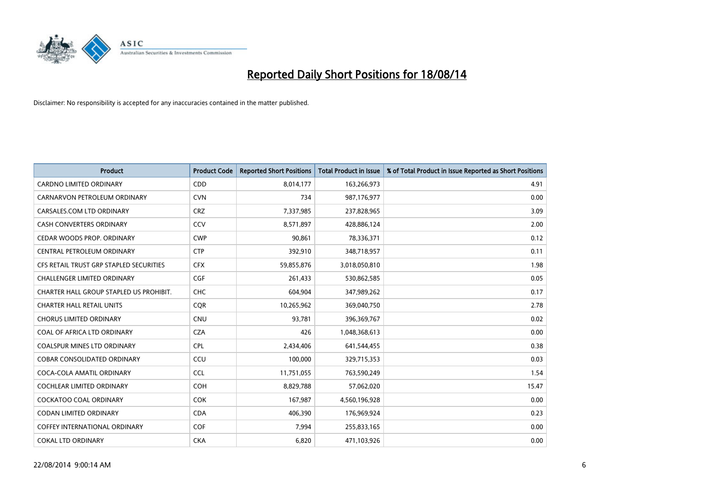

| <b>Product</b>                          | <b>Product Code</b> | <b>Reported Short Positions</b> | <b>Total Product in Issue</b> | % of Total Product in Issue Reported as Short Positions |
|-----------------------------------------|---------------------|---------------------------------|-------------------------------|---------------------------------------------------------|
| <b>CARDNO LIMITED ORDINARY</b>          | CDD                 | 8,014,177                       | 163,266,973                   | 4.91                                                    |
| CARNARVON PETROLEUM ORDINARY            | <b>CVN</b>          | 734                             | 987,176,977                   | 0.00                                                    |
| CARSALES.COM LTD ORDINARY               | <b>CRZ</b>          | 7,337,985                       | 237,828,965                   | 3.09                                                    |
| <b>CASH CONVERTERS ORDINARY</b>         | CCV                 | 8,571,897                       | 428,886,124                   | 2.00                                                    |
| CEDAR WOODS PROP. ORDINARY              | <b>CWP</b>          | 90,861                          | 78,336,371                    | 0.12                                                    |
| CENTRAL PETROLEUM ORDINARY              | <b>CTP</b>          | 392,910                         | 348,718,957                   | 0.11                                                    |
| CFS RETAIL TRUST GRP STAPLED SECURITIES | <b>CFX</b>          | 59,855,876                      | 3,018,050,810                 | 1.98                                                    |
| <b>CHALLENGER LIMITED ORDINARY</b>      | <b>CGF</b>          | 261,433                         | 530,862,585                   | 0.05                                                    |
| CHARTER HALL GROUP STAPLED US PROHIBIT. | <b>CHC</b>          | 604,904                         | 347,989,262                   | 0.17                                                    |
| <b>CHARTER HALL RETAIL UNITS</b>        | <b>COR</b>          | 10,265,962                      | 369,040,750                   | 2.78                                                    |
| <b>CHORUS LIMITED ORDINARY</b>          | <b>CNU</b>          | 93,781                          | 396,369,767                   | 0.02                                                    |
| COAL OF AFRICA LTD ORDINARY             | <b>CZA</b>          | 426                             | 1,048,368,613                 | 0.00                                                    |
| COALSPUR MINES LTD ORDINARY             | <b>CPL</b>          | 2,434,406                       | 641,544,455                   | 0.38                                                    |
| <b>COBAR CONSOLIDATED ORDINARY</b>      | CCU                 | 100,000                         | 329,715,353                   | 0.03                                                    |
| COCA-COLA AMATIL ORDINARY               | <b>CCL</b>          | 11,751,055                      | 763,590,249                   | 1.54                                                    |
| <b>COCHLEAR LIMITED ORDINARY</b>        | <b>COH</b>          | 8,829,788                       | 57,062,020                    | 15.47                                                   |
| <b>COCKATOO COAL ORDINARY</b>           | <b>COK</b>          | 167,987                         | 4,560,196,928                 | 0.00                                                    |
| <b>CODAN LIMITED ORDINARY</b>           | <b>CDA</b>          | 406,390                         | 176,969,924                   | 0.23                                                    |
| <b>COFFEY INTERNATIONAL ORDINARY</b>    | COF                 | 7,994                           | 255,833,165                   | 0.00                                                    |
| <b>COKAL LTD ORDINARY</b>               | <b>CKA</b>          | 6,820                           | 471,103,926                   | 0.00                                                    |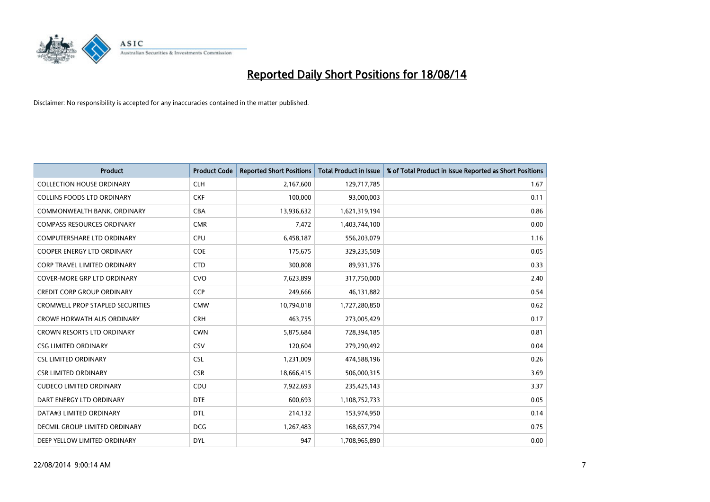

| <b>Product</b>                          | <b>Product Code</b> | <b>Reported Short Positions</b> | <b>Total Product in Issue</b> | % of Total Product in Issue Reported as Short Positions |
|-----------------------------------------|---------------------|---------------------------------|-------------------------------|---------------------------------------------------------|
| <b>COLLECTION HOUSE ORDINARY</b>        | <b>CLH</b>          | 2,167,600                       | 129,717,785                   | 1.67                                                    |
| <b>COLLINS FOODS LTD ORDINARY</b>       | <b>CKF</b>          | 100,000                         | 93,000,003                    | 0.11                                                    |
| COMMONWEALTH BANK, ORDINARY             | <b>CBA</b>          | 13,936,632                      | 1,621,319,194                 | 0.86                                                    |
| <b>COMPASS RESOURCES ORDINARY</b>       | <b>CMR</b>          | 7,472                           | 1,403,744,100                 | 0.00                                                    |
| <b>COMPUTERSHARE LTD ORDINARY</b>       | <b>CPU</b>          | 6,458,187                       | 556,203,079                   | 1.16                                                    |
| <b>COOPER ENERGY LTD ORDINARY</b>       | <b>COE</b>          | 175,675                         | 329,235,509                   | 0.05                                                    |
| <b>CORP TRAVEL LIMITED ORDINARY</b>     | <b>CTD</b>          | 300,808                         | 89,931,376                    | 0.33                                                    |
| COVER-MORE GRP LTD ORDINARY             | <b>CVO</b>          | 7,623,899                       | 317,750,000                   | 2.40                                                    |
| <b>CREDIT CORP GROUP ORDINARY</b>       | <b>CCP</b>          | 249,666                         | 46,131,882                    | 0.54                                                    |
| <b>CROMWELL PROP STAPLED SECURITIES</b> | <b>CMW</b>          | 10,794,018                      | 1,727,280,850                 | 0.62                                                    |
| <b>CROWE HORWATH AUS ORDINARY</b>       | <b>CRH</b>          | 463,755                         | 273,005,429                   | 0.17                                                    |
| <b>CROWN RESORTS LTD ORDINARY</b>       | <b>CWN</b>          | 5,875,684                       | 728,394,185                   | 0.81                                                    |
| <b>CSG LIMITED ORDINARY</b>             | CSV                 | 120,604                         | 279,290,492                   | 0.04                                                    |
| <b>CSL LIMITED ORDINARY</b>             | <b>CSL</b>          | 1,231,009                       | 474,588,196                   | 0.26                                                    |
| <b>CSR LIMITED ORDINARY</b>             | <b>CSR</b>          | 18,666,415                      | 506,000,315                   | 3.69                                                    |
| <b>CUDECO LIMITED ORDINARY</b>          | <b>CDU</b>          | 7,922,693                       | 235,425,143                   | 3.37                                                    |
| DART ENERGY LTD ORDINARY                | <b>DTE</b>          | 600,693                         | 1,108,752,733                 | 0.05                                                    |
| DATA#3 LIMITED ORDINARY                 | DTL                 | 214,132                         | 153,974,950                   | 0.14                                                    |
| DECMIL GROUP LIMITED ORDINARY           | <b>DCG</b>          | 1,267,483                       | 168,657,794                   | 0.75                                                    |
| DEEP YELLOW LIMITED ORDINARY            | <b>DYL</b>          | 947                             | 1,708,965,890                 | 0.00                                                    |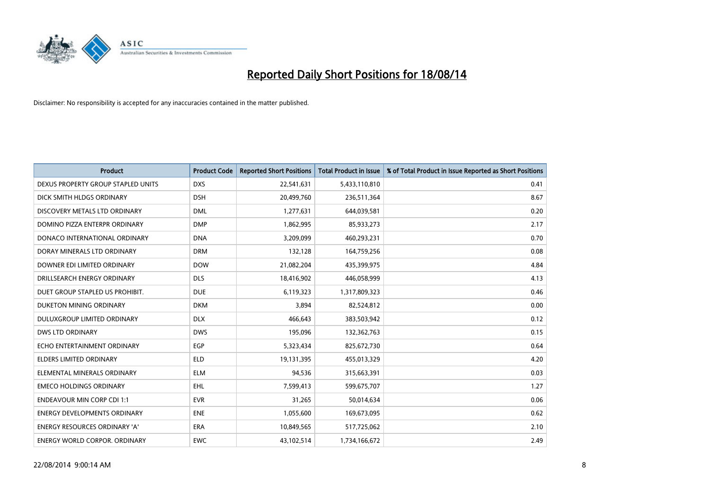

| <b>Product</b>                       | <b>Product Code</b> | <b>Reported Short Positions</b> | <b>Total Product in Issue</b> | % of Total Product in Issue Reported as Short Positions |
|--------------------------------------|---------------------|---------------------------------|-------------------------------|---------------------------------------------------------|
| DEXUS PROPERTY GROUP STAPLED UNITS   | <b>DXS</b>          | 22,541,631                      | 5,433,110,810                 | 0.41                                                    |
| DICK SMITH HLDGS ORDINARY            | <b>DSH</b>          | 20,499,760                      | 236,511,364                   | 8.67                                                    |
| DISCOVERY METALS LTD ORDINARY        | <b>DML</b>          | 1,277,631                       | 644,039,581                   | 0.20                                                    |
| DOMINO PIZZA ENTERPR ORDINARY        | <b>DMP</b>          | 1,862,995                       | 85,933,273                    | 2.17                                                    |
| DONACO INTERNATIONAL ORDINARY        | <b>DNA</b>          | 3,209,099                       | 460,293,231                   | 0.70                                                    |
| DORAY MINERALS LTD ORDINARY          | <b>DRM</b>          | 132,128                         | 164,759,256                   | 0.08                                                    |
| DOWNER EDI LIMITED ORDINARY          | <b>DOW</b>          | 21,082,204                      | 435,399,975                   | 4.84                                                    |
| DRILLSEARCH ENERGY ORDINARY          | <b>DLS</b>          | 18,416,902                      | 446,058,999                   | 4.13                                                    |
| DUET GROUP STAPLED US PROHIBIT.      | <b>DUE</b>          | 6,119,323                       | 1,317,809,323                 | 0.46                                                    |
| DUKETON MINING ORDINARY              | <b>DKM</b>          | 3,894                           | 82,524,812                    | 0.00                                                    |
| DULUXGROUP LIMITED ORDINARY          | <b>DLX</b>          | 466,643                         | 383,503,942                   | 0.12                                                    |
| <b>DWS LTD ORDINARY</b>              | <b>DWS</b>          | 195,096                         | 132,362,763                   | 0.15                                                    |
| ECHO ENTERTAINMENT ORDINARY          | <b>EGP</b>          | 5,323,434                       | 825,672,730                   | 0.64                                                    |
| <b>ELDERS LIMITED ORDINARY</b>       | <b>ELD</b>          | 19,131,395                      | 455,013,329                   | 4.20                                                    |
| ELEMENTAL MINERALS ORDINARY          | <b>ELM</b>          | 94,536                          | 315,663,391                   | 0.03                                                    |
| <b>EMECO HOLDINGS ORDINARY</b>       | <b>EHL</b>          | 7,599,413                       | 599,675,707                   | 1.27                                                    |
| <b>ENDEAVOUR MIN CORP CDI 1:1</b>    | <b>EVR</b>          | 31,265                          | 50,014,634                    | 0.06                                                    |
| ENERGY DEVELOPMENTS ORDINARY         | <b>ENE</b>          | 1,055,600                       | 169,673,095                   | 0.62                                                    |
| <b>ENERGY RESOURCES ORDINARY 'A'</b> | <b>ERA</b>          | 10,849,565                      | 517,725,062                   | 2.10                                                    |
| <b>ENERGY WORLD CORPOR, ORDINARY</b> | <b>EWC</b>          | 43,102,514                      | 1,734,166,672                 | 2.49                                                    |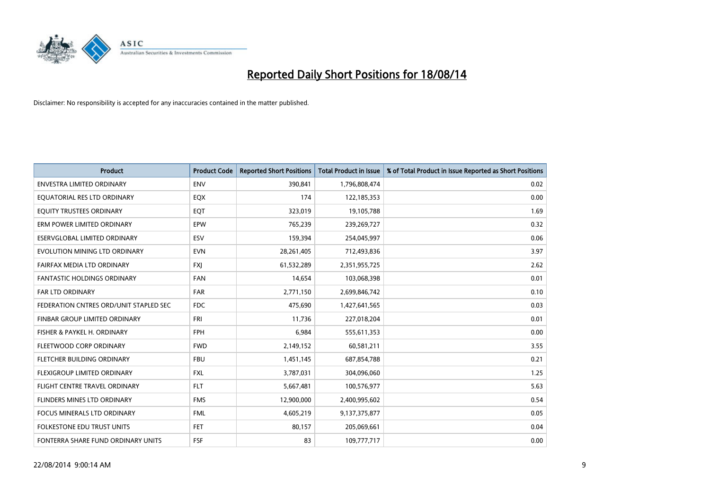

| <b>Product</b>                         | <b>Product Code</b> | <b>Reported Short Positions</b> | <b>Total Product in Issue</b> | % of Total Product in Issue Reported as Short Positions |
|----------------------------------------|---------------------|---------------------------------|-------------------------------|---------------------------------------------------------|
| <b>ENVESTRA LIMITED ORDINARY</b>       | <b>ENV</b>          | 390,841                         | 1,796,808,474                 | 0.02                                                    |
| EQUATORIAL RES LTD ORDINARY            | EQX                 | 174                             | 122,185,353                   | 0.00                                                    |
| EQUITY TRUSTEES ORDINARY               | EQT                 | 323,019                         | 19,105,788                    | 1.69                                                    |
| ERM POWER LIMITED ORDINARY             | EPW                 | 765,239                         | 239,269,727                   | 0.32                                                    |
| ESERVGLOBAL LIMITED ORDINARY           | ESV                 | 159,394                         | 254,045,997                   | 0.06                                                    |
| EVOLUTION MINING LTD ORDINARY          | <b>EVN</b>          | 28,261,405                      | 712,493,836                   | 3.97                                                    |
| FAIRFAX MEDIA LTD ORDINARY             | <b>FXI</b>          | 61,532,289                      | 2,351,955,725                 | 2.62                                                    |
| FANTASTIC HOLDINGS ORDINARY            | <b>FAN</b>          | 14,654                          | 103,068,398                   | 0.01                                                    |
| <b>FAR LTD ORDINARY</b>                | <b>FAR</b>          | 2,771,150                       | 2,699,846,742                 | 0.10                                                    |
| FEDERATION CNTRES ORD/UNIT STAPLED SEC | FDC                 | 475,690                         | 1,427,641,565                 | 0.03                                                    |
| FINBAR GROUP LIMITED ORDINARY          | FRI                 | 11,736                          | 227,018,204                   | 0.01                                                    |
| FISHER & PAYKEL H. ORDINARY            | <b>FPH</b>          | 6,984                           | 555,611,353                   | 0.00                                                    |
| FLEETWOOD CORP ORDINARY                | <b>FWD</b>          | 2,149,152                       | 60,581,211                    | 3.55                                                    |
| FLETCHER BUILDING ORDINARY             | <b>FBU</b>          | 1,451,145                       | 687,854,788                   | 0.21                                                    |
| FLEXIGROUP LIMITED ORDINARY            | <b>FXL</b>          | 3,787,031                       | 304,096,060                   | 1.25                                                    |
| FLIGHT CENTRE TRAVEL ORDINARY          | <b>FLT</b>          | 5,667,481                       | 100,576,977                   | 5.63                                                    |
| FLINDERS MINES LTD ORDINARY            | <b>FMS</b>          | 12,900,000                      | 2,400,995,602                 | 0.54                                                    |
| FOCUS MINERALS LTD ORDINARY            | <b>FML</b>          | 4,605,219                       | 9,137,375,877                 | 0.05                                                    |
| <b>FOLKESTONE EDU TRUST UNITS</b>      | <b>FET</b>          | 80,157                          | 205,069,661                   | 0.04                                                    |
| FONTERRA SHARE FUND ORDINARY UNITS     | <b>FSF</b>          | 83                              | 109,777,717                   | 0.00                                                    |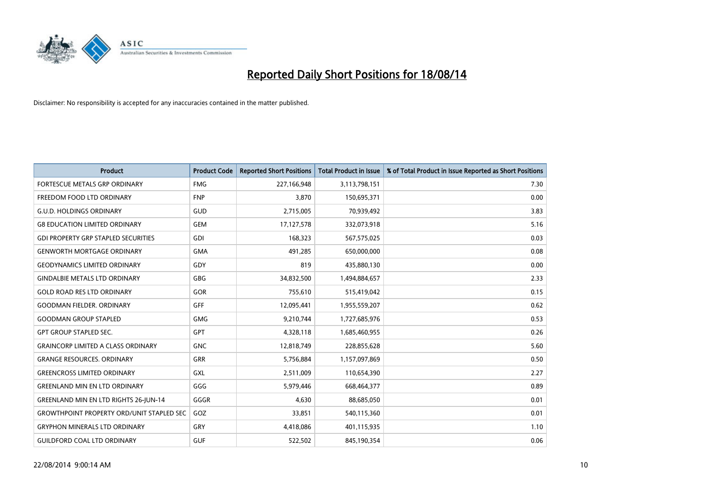

| <b>Product</b>                                   | <b>Product Code</b> | <b>Reported Short Positions</b> | <b>Total Product in Issue</b> | % of Total Product in Issue Reported as Short Positions |
|--------------------------------------------------|---------------------|---------------------------------|-------------------------------|---------------------------------------------------------|
| FORTESCUE METALS GRP ORDINARY                    | <b>FMG</b>          | 227,166,948                     | 3,113,798,151                 | 7.30                                                    |
| FREEDOM FOOD LTD ORDINARY                        | <b>FNP</b>          | 3,870                           | 150,695,371                   | 0.00                                                    |
| <b>G.U.D. HOLDINGS ORDINARY</b>                  | GUD                 | 2,715,005                       | 70,939,492                    | 3.83                                                    |
| <b>G8 EDUCATION LIMITED ORDINARY</b>             | <b>GEM</b>          | 17,127,578                      | 332,073,918                   | 5.16                                                    |
| <b>GDI PROPERTY GRP STAPLED SECURITIES</b>       | GDI                 | 168,323                         | 567,575,025                   | 0.03                                                    |
| <b>GENWORTH MORTGAGE ORDINARY</b>                | <b>GMA</b>          | 491,285                         | 650,000,000                   | 0.08                                                    |
| <b>GEODYNAMICS LIMITED ORDINARY</b>              | <b>GDY</b>          | 819                             | 435,880,130                   | 0.00                                                    |
| <b>GINDALBIE METALS LTD ORDINARY</b>             | <b>GBG</b>          | 34,832,500                      | 1,494,884,657                 | 2.33                                                    |
| <b>GOLD ROAD RES LTD ORDINARY</b>                | <b>GOR</b>          | 755,610                         | 515,419,042                   | 0.15                                                    |
| <b>GOODMAN FIELDER, ORDINARY</b>                 | GFF                 | 12,095,441                      | 1,955,559,207                 | 0.62                                                    |
| <b>GOODMAN GROUP STAPLED</b>                     | <b>GMG</b>          | 9,210,744                       | 1,727,685,976                 | 0.53                                                    |
| <b>GPT GROUP STAPLED SEC.</b>                    | <b>GPT</b>          | 4,328,118                       | 1,685,460,955                 | 0.26                                                    |
| <b>GRAINCORP LIMITED A CLASS ORDINARY</b>        | <b>GNC</b>          | 12,818,749                      | 228,855,628                   | 5.60                                                    |
| <b>GRANGE RESOURCES, ORDINARY</b>                | <b>GRR</b>          | 5,756,884                       | 1,157,097,869                 | 0.50                                                    |
| <b>GREENCROSS LIMITED ORDINARY</b>               | GXL                 | 2,511,009                       | 110,654,390                   | 2.27                                                    |
| <b>GREENLAND MIN EN LTD ORDINARY</b>             | GGG                 | 5,979,446                       | 668,464,377                   | 0.89                                                    |
| <b>GREENLAND MIN EN LTD RIGHTS 26-JUN-14</b>     | GGGR                | 4,630                           | 88,685,050                    | 0.01                                                    |
| <b>GROWTHPOINT PROPERTY ORD/UNIT STAPLED SEC</b> | GOZ                 | 33.851                          | 540,115,360                   | 0.01                                                    |
| <b>GRYPHON MINERALS LTD ORDINARY</b>             | GRY                 | 4,418,086                       | 401,115,935                   | 1.10                                                    |
| <b>GUILDFORD COAL LTD ORDINARY</b>               | <b>GUF</b>          | 522,502                         | 845,190,354                   | 0.06                                                    |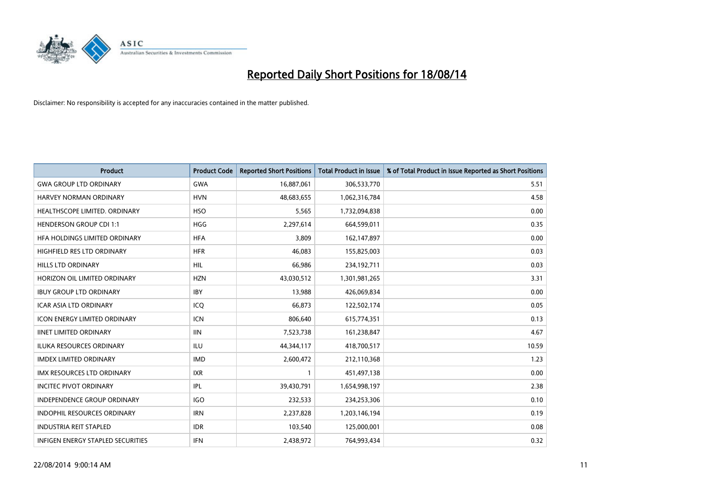

| <b>Product</b>                    | <b>Product Code</b> | <b>Reported Short Positions</b> | <b>Total Product in Issue</b> | % of Total Product in Issue Reported as Short Positions |
|-----------------------------------|---------------------|---------------------------------|-------------------------------|---------------------------------------------------------|
| <b>GWA GROUP LTD ORDINARY</b>     | <b>GWA</b>          | 16,887,061                      | 306,533,770                   | 5.51                                                    |
| HARVEY NORMAN ORDINARY            | <b>HVN</b>          | 48,683,655                      | 1,062,316,784                 | 4.58                                                    |
| HEALTHSCOPE LIMITED. ORDINARY     | <b>HSO</b>          | 5,565                           | 1,732,094,838                 | 0.00                                                    |
| <b>HENDERSON GROUP CDI 1:1</b>    | <b>HGG</b>          | 2,297,614                       | 664,599,011                   | 0.35                                                    |
| HEA HOLDINGS LIMITED ORDINARY     | <b>HFA</b>          | 3,809                           | 162,147,897                   | 0.00                                                    |
| HIGHFIELD RES LTD ORDINARY        | <b>HFR</b>          | 46,083                          | 155,825,003                   | 0.03                                                    |
| HILLS LTD ORDINARY                | <b>HIL</b>          | 66,986                          | 234,192,711                   | 0.03                                                    |
| HORIZON OIL LIMITED ORDINARY      | <b>HZN</b>          | 43,030,512                      | 1,301,981,265                 | 3.31                                                    |
| <b>IBUY GROUP LTD ORDINARY</b>    | <b>IBY</b>          | 13,988                          | 426,069,834                   | 0.00                                                    |
| <b>ICAR ASIA LTD ORDINARY</b>     | ICQ                 | 66,873                          | 122,502,174                   | 0.05                                                    |
| ICON ENERGY LIMITED ORDINARY      | <b>ICN</b>          | 806,640                         | 615,774,351                   | 0.13                                                    |
| <b>IINET LIMITED ORDINARY</b>     | <b>IIN</b>          | 7,523,738                       | 161,238,847                   | 4.67                                                    |
| ILUKA RESOURCES ORDINARY          | ILU                 | 44,344,117                      | 418,700,517                   | 10.59                                                   |
| <b>IMDEX LIMITED ORDINARY</b>     | <b>IMD</b>          | 2,600,472                       | 212,110,368                   | 1.23                                                    |
| <b>IMX RESOURCES LTD ORDINARY</b> | <b>IXR</b>          | 1                               | 451,497,138                   | 0.00                                                    |
| <b>INCITEC PIVOT ORDINARY</b>     | IPL                 | 39,430,791                      | 1,654,998,197                 | 2.38                                                    |
| INDEPENDENCE GROUP ORDINARY       | <b>IGO</b>          | 232,533                         | 234,253,306                   | 0.10                                                    |
| INDOPHIL RESOURCES ORDINARY       | <b>IRN</b>          | 2,237,828                       | 1,203,146,194                 | 0.19                                                    |
| <b>INDUSTRIA REIT STAPLED</b>     | <b>IDR</b>          | 103,540                         | 125,000,001                   | 0.08                                                    |
| INFIGEN ENERGY STAPLED SECURITIES | <b>IFN</b>          | 2,438,972                       | 764,993,434                   | 0.32                                                    |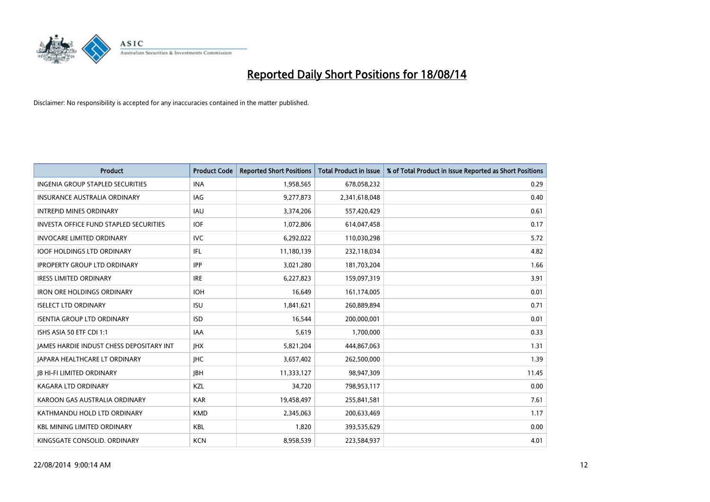

| <b>Product</b>                                | <b>Product Code</b> | <b>Reported Short Positions</b> | <b>Total Product in Issue</b> | % of Total Product in Issue Reported as Short Positions |
|-----------------------------------------------|---------------------|---------------------------------|-------------------------------|---------------------------------------------------------|
| <b>INGENIA GROUP STAPLED SECURITIES</b>       | <b>INA</b>          | 1,958,565                       | 678,058,232                   | 0.29                                                    |
| INSURANCE AUSTRALIA ORDINARY                  | IAG                 | 9,277,873                       | 2,341,618,048                 | 0.40                                                    |
| <b>INTREPID MINES ORDINARY</b>                | <b>IAU</b>          | 3,374,206                       | 557,420,429                   | 0.61                                                    |
| <b>INVESTA OFFICE FUND STAPLED SECURITIES</b> | <b>IOF</b>          | 1,072,806                       | 614,047,458                   | 0.17                                                    |
| <b>INVOCARE LIMITED ORDINARY</b>              | <b>IVC</b>          | 6,292,022                       | 110,030,298                   | 5.72                                                    |
| <b>IOOF HOLDINGS LTD ORDINARY</b>             | IFL                 | 11,180,139                      | 232,118,034                   | 4.82                                                    |
| <b>IPROPERTY GROUP LTD ORDINARY</b>           | <b>IPP</b>          | 3,021,280                       | 181,703,204                   | 1.66                                                    |
| <b>IRESS LIMITED ORDINARY</b>                 | <b>IRE</b>          | 6,227,823                       | 159,097,319                   | 3.91                                                    |
| <b>IRON ORE HOLDINGS ORDINARY</b>             | <b>IOH</b>          | 16,649                          | 161,174,005                   | 0.01                                                    |
| <b>ISELECT LTD ORDINARY</b>                   | <b>ISU</b>          | 1,841,621                       | 260,889,894                   | 0.71                                                    |
| <b>ISENTIA GROUP LTD ORDINARY</b>             | <b>ISD</b>          | 16,544                          | 200,000,001                   | 0.01                                                    |
| ISHS ASIA 50 ETF CDI 1:1                      | IAA                 | 5,619                           | 1,700,000                     | 0.33                                                    |
| JAMES HARDIE INDUST CHESS DEPOSITARY INT      | <b>IHX</b>          | 5,821,204                       | 444,867,063                   | 1.31                                                    |
| <b>JAPARA HEALTHCARE LT ORDINARY</b>          | <b>IHC</b>          | 3,657,402                       | 262,500,000                   | 1.39                                                    |
| <b>JB HI-FI LIMITED ORDINARY</b>              | <b>JBH</b>          | 11,333,127                      | 98,947,309                    | 11.45                                                   |
| KAGARA LTD ORDINARY                           | KZL                 | 34,720                          | 798,953,117                   | 0.00                                                    |
| KAROON GAS AUSTRALIA ORDINARY                 | <b>KAR</b>          | 19,458,497                      | 255,841,581                   | 7.61                                                    |
| KATHMANDU HOLD LTD ORDINARY                   | <b>KMD</b>          | 2,345,063                       | 200,633,469                   | 1.17                                                    |
| <b>KBL MINING LIMITED ORDINARY</b>            | <b>KBL</b>          | 1,820                           | 393,535,629                   | 0.00                                                    |
| KINGSGATE CONSOLID. ORDINARY                  | <b>KCN</b>          | 8,958,539                       | 223,584,937                   | 4.01                                                    |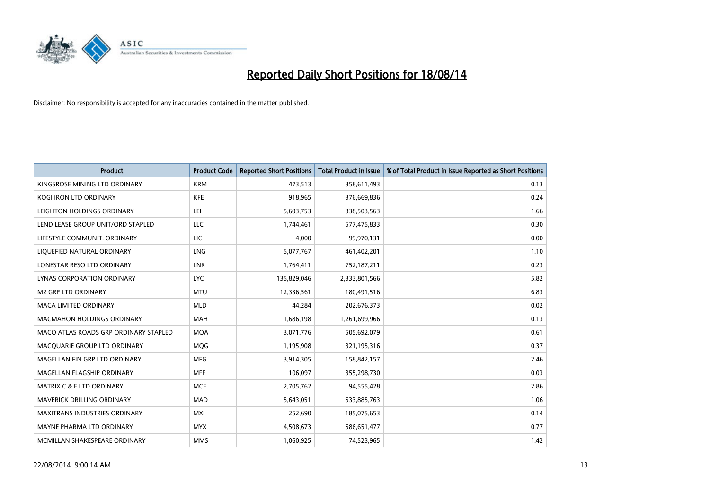

| <b>Product</b>                        | <b>Product Code</b> | <b>Reported Short Positions</b> | <b>Total Product in Issue</b> | % of Total Product in Issue Reported as Short Positions |
|---------------------------------------|---------------------|---------------------------------|-------------------------------|---------------------------------------------------------|
| KINGSROSE MINING LTD ORDINARY         | <b>KRM</b>          | 473,513                         | 358,611,493                   | 0.13                                                    |
| KOGI IRON LTD ORDINARY                | KFE                 | 918,965                         | 376,669,836                   | 0.24                                                    |
| LEIGHTON HOLDINGS ORDINARY            | LEI                 | 5,603,753                       | 338,503,563                   | 1.66                                                    |
| LEND LEASE GROUP UNIT/ORD STAPLED     | LLC                 | 1,744,461                       | 577,475,833                   | 0.30                                                    |
| LIFESTYLE COMMUNIT, ORDINARY          | LIC                 | 4,000                           | 99,970,131                    | 0.00                                                    |
| LIQUEFIED NATURAL ORDINARY            | LNG                 | 5,077,767                       | 461,402,201                   | 1.10                                                    |
| LONESTAR RESO LTD ORDINARY            | <b>LNR</b>          | 1,764,411                       | 752,187,211                   | 0.23                                                    |
| LYNAS CORPORATION ORDINARY            | <b>LYC</b>          | 135,829,046                     | 2,333,801,566                 | 5.82                                                    |
| <b>M2 GRP LTD ORDINARY</b>            | <b>MTU</b>          | 12,336,561                      | 180,491,516                   | 6.83                                                    |
| <b>MACA LIMITED ORDINARY</b>          | <b>MLD</b>          | 44,284                          | 202,676,373                   | 0.02                                                    |
| MACMAHON HOLDINGS ORDINARY            | MAH                 | 1,686,198                       | 1,261,699,966                 | 0.13                                                    |
| MACO ATLAS ROADS GRP ORDINARY STAPLED | <b>MQA</b>          | 3,071,776                       | 505,692,079                   | 0.61                                                    |
| MACQUARIE GROUP LTD ORDINARY          | <b>MOG</b>          | 1,195,908                       | 321,195,316                   | 0.37                                                    |
| MAGELLAN FIN GRP LTD ORDINARY         | <b>MFG</b>          | 3,914,305                       | 158,842,157                   | 2.46                                                    |
| MAGELLAN FLAGSHIP ORDINARY            | <b>MFF</b>          | 106,097                         | 355,298,730                   | 0.03                                                    |
| <b>MATRIX C &amp; E LTD ORDINARY</b>  | <b>MCE</b>          | 2,705,762                       | 94,555,428                    | 2.86                                                    |
| MAVERICK DRILLING ORDINARY            | <b>MAD</b>          | 5,643,051                       | 533,885,763                   | 1.06                                                    |
| <b>MAXITRANS INDUSTRIES ORDINARY</b>  | <b>MXI</b>          | 252,690                         | 185,075,653                   | 0.14                                                    |
| MAYNE PHARMA LTD ORDINARY             | <b>MYX</b>          | 4,508,673                       | 586,651,477                   | 0.77                                                    |
| MCMILLAN SHAKESPEARE ORDINARY         | <b>MMS</b>          | 1,060,925                       | 74,523,965                    | 1.42                                                    |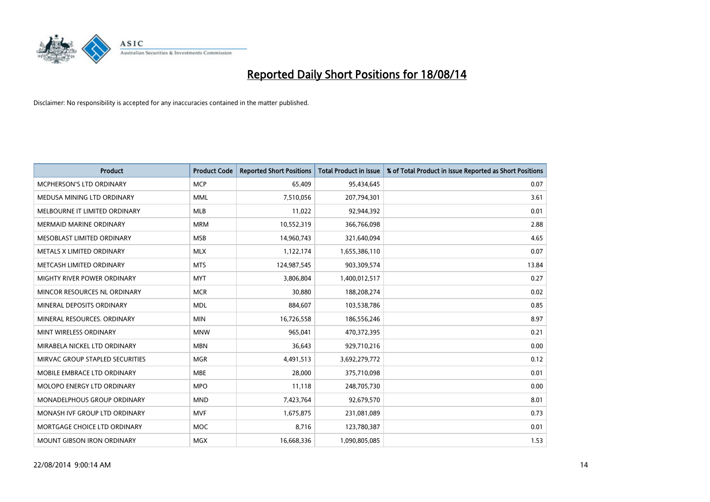

| <b>Product</b>                  | <b>Product Code</b> | <b>Reported Short Positions</b> | <b>Total Product in Issue</b> | % of Total Product in Issue Reported as Short Positions |
|---------------------------------|---------------------|---------------------------------|-------------------------------|---------------------------------------------------------|
| MCPHERSON'S LTD ORDINARY        | <b>MCP</b>          | 65,409                          | 95,434,645                    | 0.07                                                    |
| MEDUSA MINING LTD ORDINARY      | <b>MML</b>          | 7,510,056                       | 207,794,301                   | 3.61                                                    |
| MELBOURNE IT LIMITED ORDINARY   | <b>MLB</b>          | 11,022                          | 92,944,392                    | 0.01                                                    |
| <b>MERMAID MARINE ORDINARY</b>  | <b>MRM</b>          | 10,552,319                      | 366,766,098                   | 2.88                                                    |
| MESOBLAST LIMITED ORDINARY      | <b>MSB</b>          | 14,960,743                      | 321,640,094                   | 4.65                                                    |
| METALS X LIMITED ORDINARY       | <b>MLX</b>          | 1,122,174                       | 1,655,386,110                 | 0.07                                                    |
| METCASH LIMITED ORDINARY        | <b>MTS</b>          | 124,987,545                     | 903,309,574                   | 13.84                                                   |
| MIGHTY RIVER POWER ORDINARY     | <b>MYT</b>          | 3,806,804                       | 1,400,012,517                 | 0.27                                                    |
| MINCOR RESOURCES NL ORDINARY    | <b>MCR</b>          | 30,880                          | 188,208,274                   | 0.02                                                    |
| MINERAL DEPOSITS ORDINARY       | <b>MDL</b>          | 884,607                         | 103,538,786                   | 0.85                                                    |
| MINERAL RESOURCES, ORDINARY     | <b>MIN</b>          | 16,726,558                      | 186,556,246                   | 8.97                                                    |
| MINT WIRELESS ORDINARY          | <b>MNW</b>          | 965,041                         | 470,372,395                   | 0.21                                                    |
| MIRABELA NICKEL LTD ORDINARY    | <b>MBN</b>          | 36,643                          | 929,710,216                   | 0.00                                                    |
| MIRVAC GROUP STAPLED SECURITIES | <b>MGR</b>          | 4,491,513                       | 3,692,279,772                 | 0.12                                                    |
| MOBILE EMBRACE LTD ORDINARY     | <b>MBE</b>          | 28,000                          | 375,710,098                   | 0.01                                                    |
| MOLOPO ENERGY LTD ORDINARY      | <b>MPO</b>          | 11,118                          | 248,705,730                   | 0.00                                                    |
| MONADELPHOUS GROUP ORDINARY     | <b>MND</b>          | 7,423,764                       | 92,679,570                    | 8.01                                                    |
| MONASH IVF GROUP LTD ORDINARY   | <b>MVF</b>          | 1,675,875                       | 231,081,089                   | 0.73                                                    |
| MORTGAGE CHOICE LTD ORDINARY    | <b>MOC</b>          | 8,716                           | 123,780,387                   | 0.01                                                    |
| MOUNT GIBSON IRON ORDINARY      | <b>MGX</b>          | 16,668,336                      | 1,090,805,085                 | 1.53                                                    |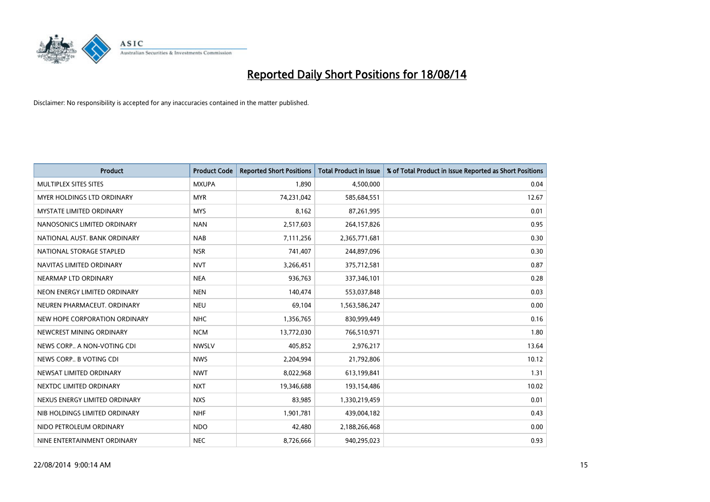

| <b>Product</b>                  | <b>Product Code</b> | <b>Reported Short Positions</b> | <b>Total Product in Issue</b> | % of Total Product in Issue Reported as Short Positions |
|---------------------------------|---------------------|---------------------------------|-------------------------------|---------------------------------------------------------|
| MULTIPLEX SITES SITES           | <b>MXUPA</b>        | 1,890                           | 4,500,000                     | 0.04                                                    |
| MYER HOLDINGS LTD ORDINARY      | <b>MYR</b>          | 74,231,042                      | 585,684,551                   | 12.67                                                   |
| <b>MYSTATE LIMITED ORDINARY</b> | <b>MYS</b>          | 8,162                           | 87,261,995                    | 0.01                                                    |
| NANOSONICS LIMITED ORDINARY     | <b>NAN</b>          | 2,517,603                       | 264,157,826                   | 0.95                                                    |
| NATIONAL AUST. BANK ORDINARY    | <b>NAB</b>          | 7,111,256                       | 2,365,771,681                 | 0.30                                                    |
| NATIONAL STORAGE STAPLED        | <b>NSR</b>          | 741,407                         | 244,897,096                   | 0.30                                                    |
| NAVITAS LIMITED ORDINARY        | <b>NVT</b>          | 3,266,451                       | 375,712,581                   | 0.87                                                    |
| NEARMAP LTD ORDINARY            | <b>NEA</b>          | 936,763                         | 337,346,101                   | 0.28                                                    |
| NEON ENERGY LIMITED ORDINARY    | <b>NEN</b>          | 140,474                         | 553,037,848                   | 0.03                                                    |
| NEUREN PHARMACEUT, ORDINARY     | <b>NEU</b>          | 69,104                          | 1,563,586,247                 | 0.00                                                    |
| NEW HOPE CORPORATION ORDINARY   | <b>NHC</b>          | 1,356,765                       | 830,999,449                   | 0.16                                                    |
| NEWCREST MINING ORDINARY        | <b>NCM</b>          | 13,772,030                      | 766,510,971                   | 1.80                                                    |
| NEWS CORP A NON-VOTING CDI      | <b>NWSLV</b>        | 405,852                         | 2,976,217                     | 13.64                                                   |
| NEWS CORP B VOTING CDI          | <b>NWS</b>          | 2,204,994                       | 21,792,806                    | 10.12                                                   |
| NEWSAT LIMITED ORDINARY         | <b>NWT</b>          | 8,022,968                       | 613,199,841                   | 1.31                                                    |
| NEXTDC LIMITED ORDINARY         | <b>NXT</b>          | 19,346,688                      | 193,154,486                   | 10.02                                                   |
| NEXUS ENERGY LIMITED ORDINARY   | <b>NXS</b>          | 83,985                          | 1,330,219,459                 | 0.01                                                    |
| NIB HOLDINGS LIMITED ORDINARY   | <b>NHF</b>          | 1,901,781                       | 439,004,182                   | 0.43                                                    |
| NIDO PETROLEUM ORDINARY         | <b>NDO</b>          | 42,480                          | 2,188,266,468                 | 0.00                                                    |
| NINE ENTERTAINMENT ORDINARY     | <b>NEC</b>          | 8,726,666                       | 940,295,023                   | 0.93                                                    |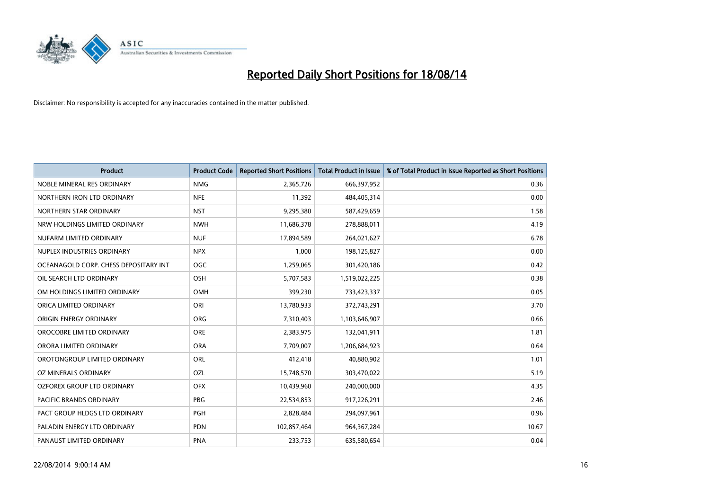

| <b>Product</b>                        | <b>Product Code</b> | <b>Reported Short Positions</b> | <b>Total Product in Issue</b> | % of Total Product in Issue Reported as Short Positions |
|---------------------------------------|---------------------|---------------------------------|-------------------------------|---------------------------------------------------------|
| NOBLE MINERAL RES ORDINARY            | <b>NMG</b>          | 2,365,726                       | 666,397,952                   | 0.36                                                    |
| NORTHERN IRON LTD ORDINARY            | <b>NFE</b>          | 11,392                          | 484,405,314                   | 0.00                                                    |
| NORTHERN STAR ORDINARY                | <b>NST</b>          | 9,295,380                       | 587,429,659                   | 1.58                                                    |
| NRW HOLDINGS LIMITED ORDINARY         | <b>NWH</b>          | 11,686,378                      | 278,888,011                   | 4.19                                                    |
| NUFARM LIMITED ORDINARY               | <b>NUF</b>          | 17,894,589                      | 264,021,627                   | 6.78                                                    |
| NUPLEX INDUSTRIES ORDINARY            | <b>NPX</b>          | 1,000                           | 198,125,827                   | 0.00                                                    |
| OCEANAGOLD CORP. CHESS DEPOSITARY INT | <b>OGC</b>          | 1,259,065                       | 301,420,186                   | 0.42                                                    |
| OIL SEARCH LTD ORDINARY               | OSH                 | 5,707,583                       | 1,519,022,225                 | 0.38                                                    |
| OM HOLDINGS LIMITED ORDINARY          | OMH                 | 399,230                         | 733,423,337                   | 0.05                                                    |
| ORICA LIMITED ORDINARY                | ORI                 | 13,780,933                      | 372,743,291                   | 3.70                                                    |
| ORIGIN ENERGY ORDINARY                | <b>ORG</b>          | 7,310,403                       | 1,103,646,907                 | 0.66                                                    |
| OROCOBRE LIMITED ORDINARY             | <b>ORE</b>          | 2,383,975                       | 132,041,911                   | 1.81                                                    |
| ORORA LIMITED ORDINARY                | <b>ORA</b>          | 7,709,007                       | 1,206,684,923                 | 0.64                                                    |
| OROTONGROUP LIMITED ORDINARY          | ORL                 | 412,418                         | 40,880,902                    | 1.01                                                    |
| OZ MINERALS ORDINARY                  | OZL                 | 15,748,570                      | 303,470,022                   | 5.19                                                    |
| OZFOREX GROUP LTD ORDINARY            | <b>OFX</b>          | 10,439,960                      | 240,000,000                   | 4.35                                                    |
| PACIFIC BRANDS ORDINARY               | <b>PBG</b>          | 22,534,853                      | 917,226,291                   | 2.46                                                    |
| PACT GROUP HLDGS LTD ORDINARY         | PGH                 | 2,828,484                       | 294,097,961                   | 0.96                                                    |
| PALADIN ENERGY LTD ORDINARY           | <b>PDN</b>          | 102,857,464                     | 964,367,284                   | 10.67                                                   |
| PANAUST LIMITED ORDINARY              | <b>PNA</b>          | 233,753                         | 635,580,654                   | 0.04                                                    |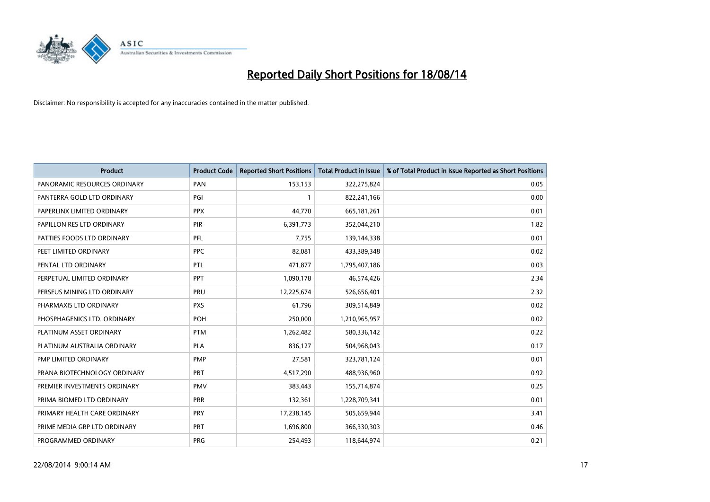

| <b>Product</b>               | <b>Product Code</b> | <b>Reported Short Positions</b> | <b>Total Product in Issue</b> | % of Total Product in Issue Reported as Short Positions |
|------------------------------|---------------------|---------------------------------|-------------------------------|---------------------------------------------------------|
| PANORAMIC RESOURCES ORDINARY | PAN                 | 153,153                         | 322,275,824                   | 0.05                                                    |
| PANTERRA GOLD LTD ORDINARY   | PGI                 |                                 | 822,241,166                   | 0.00                                                    |
| PAPERLINX LIMITED ORDINARY   | <b>PPX</b>          | 44,770                          | 665,181,261                   | 0.01                                                    |
| PAPILLON RES LTD ORDINARY    | <b>PIR</b>          | 6,391,773                       | 352,044,210                   | 1.82                                                    |
| PATTIES FOODS LTD ORDINARY   | PFL                 | 7,755                           | 139,144,338                   | 0.01                                                    |
| PEET LIMITED ORDINARY        | <b>PPC</b>          | 82,081                          | 433,389,348                   | 0.02                                                    |
| PENTAL LTD ORDINARY          | <b>PTL</b>          | 471,877                         | 1,795,407,186                 | 0.03                                                    |
| PERPETUAL LIMITED ORDINARY   | PPT                 | 1,090,178                       | 46,574,426                    | 2.34                                                    |
| PERSEUS MINING LTD ORDINARY  | PRU                 | 12,225,674                      | 526,656,401                   | 2.32                                                    |
| PHARMAXIS LTD ORDINARY       | <b>PXS</b>          | 61,796                          | 309,514,849                   | 0.02                                                    |
| PHOSPHAGENICS LTD. ORDINARY  | <b>POH</b>          | 250,000                         | 1,210,965,957                 | 0.02                                                    |
| PLATINUM ASSET ORDINARY      | <b>PTM</b>          | 1,262,482                       | 580,336,142                   | 0.22                                                    |
| PLATINUM AUSTRALIA ORDINARY  | <b>PLA</b>          | 836,127                         | 504,968,043                   | 0.17                                                    |
| PMP LIMITED ORDINARY         | <b>PMP</b>          | 27,581                          | 323,781,124                   | 0.01                                                    |
| PRANA BIOTECHNOLOGY ORDINARY | <b>PBT</b>          | 4,517,290                       | 488,936,960                   | 0.92                                                    |
| PREMIER INVESTMENTS ORDINARY | <b>PMV</b>          | 383,443                         | 155,714,874                   | 0.25                                                    |
| PRIMA BIOMED LTD ORDINARY    | <b>PRR</b>          | 132,361                         | 1,228,709,341                 | 0.01                                                    |
| PRIMARY HEALTH CARE ORDINARY | PRY                 | 17,238,145                      | 505,659,944                   | 3.41                                                    |
| PRIME MEDIA GRP LTD ORDINARY | <b>PRT</b>          | 1,696,800                       | 366,330,303                   | 0.46                                                    |
| PROGRAMMED ORDINARY          | <b>PRG</b>          | 254,493                         | 118,644,974                   | 0.21                                                    |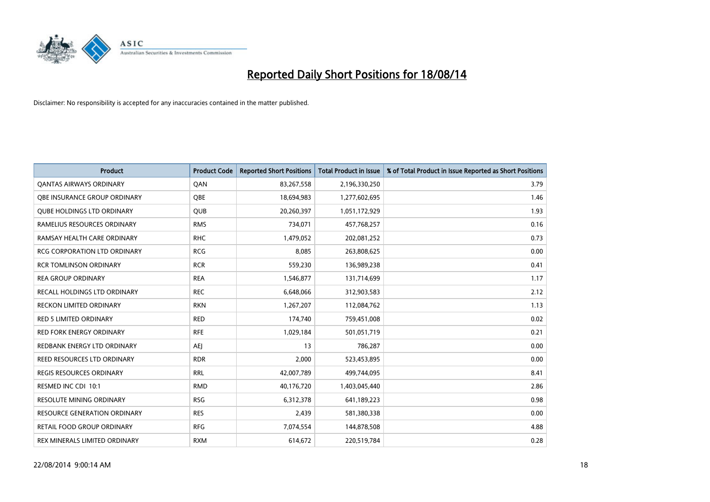

| <b>Product</b>                      | <b>Product Code</b> | <b>Reported Short Positions</b> | <b>Total Product in Issue</b> | % of Total Product in Issue Reported as Short Positions |
|-------------------------------------|---------------------|---------------------------------|-------------------------------|---------------------------------------------------------|
| <b>QANTAS AIRWAYS ORDINARY</b>      | QAN                 | 83,267,558                      | 2,196,330,250                 | 3.79                                                    |
| OBE INSURANCE GROUP ORDINARY        | QBE                 | 18,694,983                      | 1,277,602,695                 | 1.46                                                    |
| <b>QUBE HOLDINGS LTD ORDINARY</b>   | <b>QUB</b>          | 20,260,397                      | 1,051,172,929                 | 1.93                                                    |
| RAMELIUS RESOURCES ORDINARY         | <b>RMS</b>          | 734,071                         | 457,768,257                   | 0.16                                                    |
| RAMSAY HEALTH CARE ORDINARY         | <b>RHC</b>          | 1,479,052                       | 202,081,252                   | 0.73                                                    |
| <b>RCG CORPORATION LTD ORDINARY</b> | <b>RCG</b>          | 8,085                           | 263,808,625                   | 0.00                                                    |
| <b>RCR TOMLINSON ORDINARY</b>       | <b>RCR</b>          | 559,230                         | 136,989,238                   | 0.41                                                    |
| <b>REA GROUP ORDINARY</b>           | <b>REA</b>          | 1,546,877                       | 131,714,699                   | 1.17                                                    |
| <b>RECALL HOLDINGS LTD ORDINARY</b> | <b>REC</b>          | 6,648,066                       | 312,903,583                   | 2.12                                                    |
| RECKON LIMITED ORDINARY             | <b>RKN</b>          | 1,267,207                       | 112,084,762                   | 1.13                                                    |
| RED 5 LIMITED ORDINARY              | <b>RED</b>          | 174,740                         | 759,451,008                   | 0.02                                                    |
| <b>RED FORK ENERGY ORDINARY</b>     | <b>RFE</b>          | 1,029,184                       | 501,051,719                   | 0.21                                                    |
| REDBANK ENERGY LTD ORDINARY         | AEJ                 | 13                              | 786,287                       | 0.00                                                    |
| <b>REED RESOURCES LTD ORDINARY</b>  | <b>RDR</b>          | 2,000                           | 523,453,895                   | 0.00                                                    |
| <b>REGIS RESOURCES ORDINARY</b>     | <b>RRL</b>          | 42,007,789                      | 499,744,095                   | 8.41                                                    |
| RESMED INC CDI 10:1                 | <b>RMD</b>          | 40,176,720                      | 1,403,045,440                 | 2.86                                                    |
| RESOLUTE MINING ORDINARY            | <b>RSG</b>          | 6,312,378                       | 641,189,223                   | 0.98                                                    |
| <b>RESOURCE GENERATION ORDINARY</b> | <b>RES</b>          | 2,439                           | 581,380,338                   | 0.00                                                    |
| <b>RETAIL FOOD GROUP ORDINARY</b>   | <b>RFG</b>          | 7,074,554                       | 144,878,508                   | 4.88                                                    |
| REX MINERALS LIMITED ORDINARY       | <b>RXM</b>          | 614,672                         | 220,519,784                   | 0.28                                                    |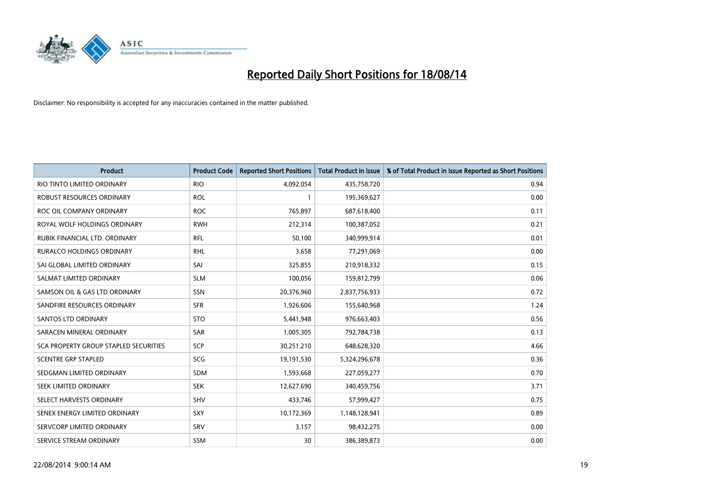

| <b>Product</b>                        | <b>Product Code</b> | <b>Reported Short Positions</b> | <b>Total Product in Issue</b> | % of Total Product in Issue Reported as Short Positions |
|---------------------------------------|---------------------|---------------------------------|-------------------------------|---------------------------------------------------------|
| RIO TINTO LIMITED ORDINARY            | <b>RIO</b>          | 4,092,054                       | 435,758,720                   | 0.94                                                    |
| ROBUST RESOURCES ORDINARY             | <b>ROL</b>          |                                 | 195,369,627                   | 0.00                                                    |
| ROC OIL COMPANY ORDINARY              | <b>ROC</b>          | 765,897                         | 687,618,400                   | 0.11                                                    |
| ROYAL WOLF HOLDINGS ORDINARY          | <b>RWH</b>          | 212,314                         | 100,387,052                   | 0.21                                                    |
| RUBIK FINANCIAL LTD. ORDINARY         | <b>RFL</b>          | 50,100                          | 340,999,914                   | 0.01                                                    |
| <b>RURALCO HOLDINGS ORDINARY</b>      | <b>RHL</b>          | 3,658                           | 77,291,069                    | 0.00                                                    |
| SAI GLOBAL LIMITED ORDINARY           | SAI                 | 325,855                         | 210,918,332                   | 0.15                                                    |
| SALMAT LIMITED ORDINARY               | <b>SLM</b>          | 100,056                         | 159,812,799                   | 0.06                                                    |
| SAMSON OIL & GAS LTD ORDINARY         | SSN                 | 20,376,960                      | 2,837,756,933                 | 0.72                                                    |
| SANDFIRE RESOURCES ORDINARY           | <b>SFR</b>          | 1,926,606                       | 155,640,968                   | 1.24                                                    |
| SANTOS LTD ORDINARY                   | <b>STO</b>          | 5,441,948                       | 976,663,403                   | 0.56                                                    |
| SARACEN MINERAL ORDINARY              | SAR                 | 1,005,305                       | 792,784,738                   | 0.13                                                    |
| SCA PROPERTY GROUP STAPLED SECURITIES | <b>SCP</b>          | 30,251,210                      | 648,628,320                   | 4.66                                                    |
| <b>SCENTRE GRP STAPLED</b>            | SCG                 | 19,191,530                      | 5,324,296,678                 | 0.36                                                    |
| SEDGMAN LIMITED ORDINARY              | SDM                 | 1,593,668                       | 227,059,277                   | 0.70                                                    |
| SEEK LIMITED ORDINARY                 | <b>SEK</b>          | 12,627,690                      | 340,459,756                   | 3.71                                                    |
| SELECT HARVESTS ORDINARY              | SHV                 | 433,746                         | 57,999,427                    | 0.75                                                    |
| SENEX ENERGY LIMITED ORDINARY         | <b>SXY</b>          | 10,172,369                      | 1,148,128,941                 | 0.89                                                    |
| SERVCORP LIMITED ORDINARY             | SRV                 | 3,157                           | 98,432,275                    | 0.00                                                    |
| SERVICE STREAM ORDINARY               | <b>SSM</b>          | 30                              | 386,389,873                   | 0.00                                                    |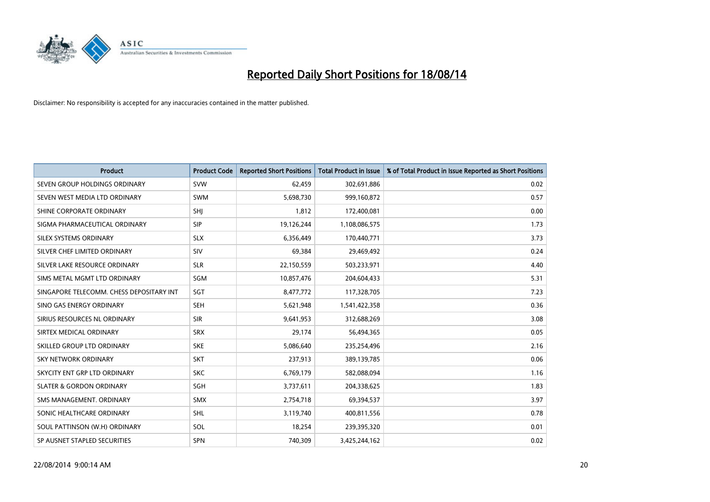

| <b>Product</b>                           | <b>Product Code</b> | <b>Reported Short Positions</b> | <b>Total Product in Issue</b> | % of Total Product in Issue Reported as Short Positions |
|------------------------------------------|---------------------|---------------------------------|-------------------------------|---------------------------------------------------------|
| SEVEN GROUP HOLDINGS ORDINARY            | <b>SVW</b>          | 62,459                          | 302,691,886                   | 0.02                                                    |
| SEVEN WEST MEDIA LTD ORDINARY            | <b>SWM</b>          | 5,698,730                       | 999,160,872                   | 0.57                                                    |
| SHINE CORPORATE ORDINARY                 | SHJ                 | 1,812                           | 172,400,081                   | 0.00                                                    |
| SIGMA PHARMACEUTICAL ORDINARY            | <b>SIP</b>          | 19,126,244                      | 1,108,086,575                 | 1.73                                                    |
| SILEX SYSTEMS ORDINARY                   | <b>SLX</b>          | 6,356,449                       | 170,440,771                   | 3.73                                                    |
| SILVER CHEF LIMITED ORDINARY             | SIV                 | 69,384                          | 29,469,492                    | 0.24                                                    |
| SILVER LAKE RESOURCE ORDINARY            | <b>SLR</b>          | 22,150,559                      | 503,233,971                   | 4.40                                                    |
| SIMS METAL MGMT LTD ORDINARY             | SGM                 | 10,857,476                      | 204,604,433                   | 5.31                                                    |
| SINGAPORE TELECOMM. CHESS DEPOSITARY INT | SGT                 | 8,477,772                       | 117,328,705                   | 7.23                                                    |
| SINO GAS ENERGY ORDINARY                 | <b>SEH</b>          | 5,621,948                       | 1,541,422,358                 | 0.36                                                    |
| SIRIUS RESOURCES NL ORDINARY             | <b>SIR</b>          | 9,641,953                       | 312,688,269                   | 3.08                                                    |
| SIRTEX MEDICAL ORDINARY                  | <b>SRX</b>          | 29,174                          | 56,494,365                    | 0.05                                                    |
| SKILLED GROUP LTD ORDINARY               | <b>SKE</b>          | 5,086,640                       | 235,254,496                   | 2.16                                                    |
| <b>SKY NETWORK ORDINARY</b>              | <b>SKT</b>          | 237,913                         | 389,139,785                   | 0.06                                                    |
| SKYCITY ENT GRP LTD ORDINARY             | <b>SKC</b>          | 6,769,179                       | 582,088,094                   | 1.16                                                    |
| <b>SLATER &amp; GORDON ORDINARY</b>      | SGH                 | 3,737,611                       | 204,338,625                   | 1.83                                                    |
| SMS MANAGEMENT. ORDINARY                 | SMX                 | 2,754,718                       | 69,394,537                    | 3.97                                                    |
| SONIC HEALTHCARE ORDINARY                | <b>SHL</b>          | 3,119,740                       | 400,811,556                   | 0.78                                                    |
| SOUL PATTINSON (W.H) ORDINARY            | SOL                 | 18,254                          | 239,395,320                   | 0.01                                                    |
| SP AUSNET STAPLED SECURITIES             | SPN                 | 740,309                         | 3,425,244,162                 | 0.02                                                    |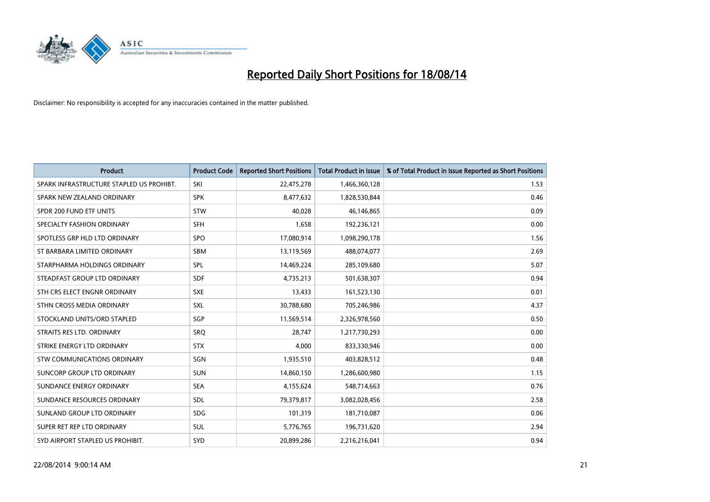

| <b>Product</b>                           | <b>Product Code</b> | <b>Reported Short Positions</b> | <b>Total Product in Issue</b> | % of Total Product in Issue Reported as Short Positions |
|------------------------------------------|---------------------|---------------------------------|-------------------------------|---------------------------------------------------------|
| SPARK INFRASTRUCTURE STAPLED US PROHIBT. | SKI                 | 22,475,278                      | 1,466,360,128                 | 1.53                                                    |
| SPARK NEW ZEALAND ORDINARY               | <b>SPK</b>          | 8,477,632                       | 1,828,530,844                 | 0.46                                                    |
| SPDR 200 FUND ETF UNITS                  | <b>STW</b>          | 40,028                          | 46,146,865                    | 0.09                                                    |
| SPECIALTY FASHION ORDINARY               | <b>SFH</b>          | 1,658                           | 192,236,121                   | 0.00                                                    |
| SPOTLESS GRP HLD LTD ORDINARY            | <b>SPO</b>          | 17,080,914                      | 1,098,290,178                 | 1.56                                                    |
| ST BARBARA LIMITED ORDINARY              | <b>SBM</b>          | 13,119,569                      | 488,074,077                   | 2.69                                                    |
| STARPHARMA HOLDINGS ORDINARY             | <b>SPL</b>          | 14,469,224                      | 285,109,680                   | 5.07                                                    |
| STEADFAST GROUP LTD ORDINARY             | <b>SDF</b>          | 4,735,213                       | 501,638,307                   | 0.94                                                    |
| STH CRS ELECT ENGNR ORDINARY             | <b>SXE</b>          | 13,433                          | 161,523,130                   | 0.01                                                    |
| STHN CROSS MEDIA ORDINARY                | <b>SXL</b>          | 30,788,680                      | 705,246,986                   | 4.37                                                    |
| STOCKLAND UNITS/ORD STAPLED              | SGP                 | 11,569,514                      | 2,326,978,560                 | 0.50                                                    |
| STRAITS RES LTD. ORDINARY                | SRQ                 | 28,747                          | 1,217,730,293                 | 0.00                                                    |
| STRIKE ENERGY LTD ORDINARY               | <b>STX</b>          | 4,000                           | 833,330,946                   | 0.00                                                    |
| STW COMMUNICATIONS ORDINARY              | SGN                 | 1,935,510                       | 403,828,512                   | 0.48                                                    |
| SUNCORP GROUP LTD ORDINARY               | <b>SUN</b>          | 14,860,150                      | 1,286,600,980                 | 1.15                                                    |
| SUNDANCE ENERGY ORDINARY                 | <b>SEA</b>          | 4,155,624                       | 548,714,663                   | 0.76                                                    |
| SUNDANCE RESOURCES ORDINARY              | SDL                 | 79,379,817                      | 3,082,028,456                 | 2.58                                                    |
| SUNLAND GROUP LTD ORDINARY               | <b>SDG</b>          | 101,319                         | 181,710,087                   | 0.06                                                    |
| SUPER RET REP LTD ORDINARY               | SUL                 | 5,776,765                       | 196,731,620                   | 2.94                                                    |
| SYD AIRPORT STAPLED US PROHIBIT.         | <b>SYD</b>          | 20,899,286                      | 2,216,216,041                 | 0.94                                                    |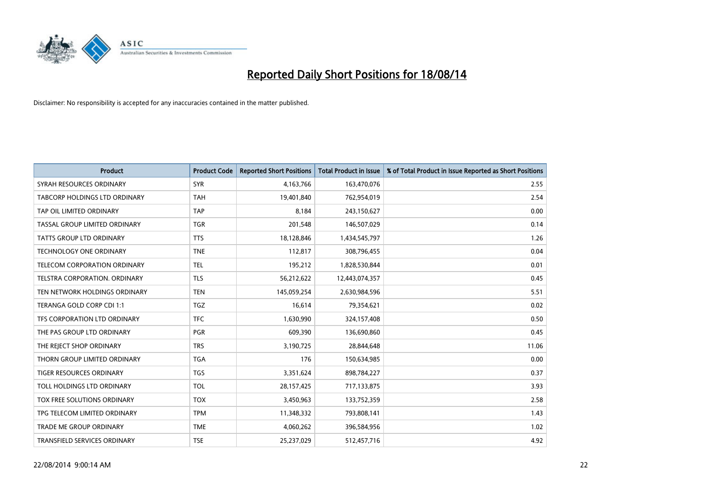

| <b>Product</b>                  | <b>Product Code</b> | <b>Reported Short Positions</b> | <b>Total Product in Issue</b> | % of Total Product in Issue Reported as Short Positions |
|---------------------------------|---------------------|---------------------------------|-------------------------------|---------------------------------------------------------|
| SYRAH RESOURCES ORDINARY        | <b>SYR</b>          | 4,163,766                       | 163,470,076                   | 2.55                                                    |
| TABCORP HOLDINGS LTD ORDINARY   | TAH                 | 19,401,840                      | 762,954,019                   | 2.54                                                    |
| TAP OIL LIMITED ORDINARY        | <b>TAP</b>          | 8,184                           | 243,150,627                   | 0.00                                                    |
| TASSAL GROUP LIMITED ORDINARY   | <b>TGR</b>          | 201,548                         | 146,507,029                   | 0.14                                                    |
| <b>TATTS GROUP LTD ORDINARY</b> | <b>TTS</b>          | 18,128,846                      | 1,434,545,797                 | 1.26                                                    |
| <b>TECHNOLOGY ONE ORDINARY</b>  | <b>TNE</b>          | 112,817                         | 308,796,455                   | 0.04                                                    |
| TELECOM CORPORATION ORDINARY    | <b>TEL</b>          | 195,212                         | 1,828,530,844                 | 0.01                                                    |
| TELSTRA CORPORATION. ORDINARY   | <b>TLS</b>          | 56,212,622                      | 12,443,074,357                | 0.45                                                    |
| TEN NETWORK HOLDINGS ORDINARY   | <b>TEN</b>          | 145,059,254                     | 2,630,984,596                 | 5.51                                                    |
| TERANGA GOLD CORP CDI 1:1       | TGZ                 | 16,614                          | 79,354,621                    | 0.02                                                    |
| TFS CORPORATION LTD ORDINARY    | <b>TFC</b>          | 1,630,990                       | 324,157,408                   | 0.50                                                    |
| THE PAS GROUP LTD ORDINARY      | <b>PGR</b>          | 609,390                         | 136,690,860                   | 0.45                                                    |
| THE REJECT SHOP ORDINARY        | <b>TRS</b>          | 3,190,725                       | 28,844,648                    | 11.06                                                   |
| THORN GROUP LIMITED ORDINARY    | <b>TGA</b>          | 176                             | 150,634,985                   | 0.00                                                    |
| <b>TIGER RESOURCES ORDINARY</b> | <b>TGS</b>          | 3,351,624                       | 898,784,227                   | 0.37                                                    |
| TOLL HOLDINGS LTD ORDINARY      | <b>TOL</b>          | 28,157,425                      | 717,133,875                   | 3.93                                                    |
| TOX FREE SOLUTIONS ORDINARY     | <b>TOX</b>          | 3,450,963                       | 133,752,359                   | 2.58                                                    |
| TPG TELECOM LIMITED ORDINARY    | <b>TPM</b>          | 11,348,332                      | 793,808,141                   | 1.43                                                    |
| <b>TRADE ME GROUP ORDINARY</b>  | <b>TME</b>          | 4,060,262                       | 396,584,956                   | 1.02                                                    |
| TRANSFIELD SERVICES ORDINARY    | <b>TSE</b>          | 25,237,029                      | 512,457,716                   | 4.92                                                    |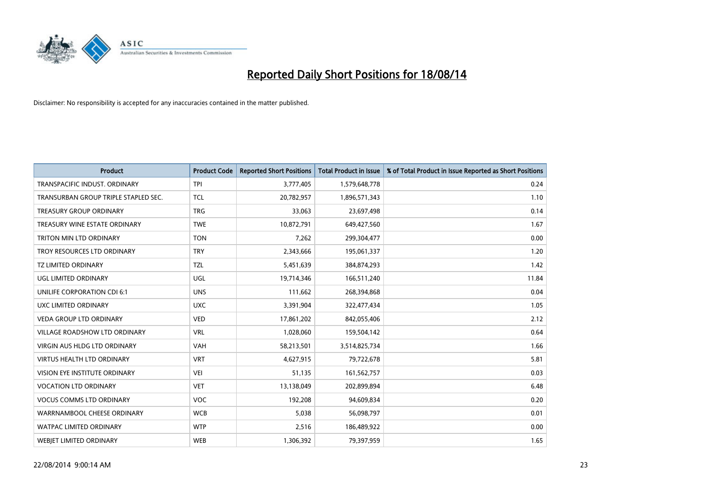

| <b>Product</b>                       | <b>Product Code</b> | <b>Reported Short Positions</b> | <b>Total Product in Issue</b> | % of Total Product in Issue Reported as Short Positions |
|--------------------------------------|---------------------|---------------------------------|-------------------------------|---------------------------------------------------------|
| TRANSPACIFIC INDUST, ORDINARY        | <b>TPI</b>          | 3,777,405                       | 1,579,648,778                 | 0.24                                                    |
| TRANSURBAN GROUP TRIPLE STAPLED SEC. | <b>TCL</b>          | 20,782,957                      | 1,896,571,343                 | 1.10                                                    |
| <b>TREASURY GROUP ORDINARY</b>       | <b>TRG</b>          | 33,063                          | 23,697,498                    | 0.14                                                    |
| TREASURY WINE ESTATE ORDINARY        | <b>TWE</b>          | 10,872,791                      | 649,427,560                   | 1.67                                                    |
| TRITON MIN LTD ORDINARY              | <b>TON</b>          | 7,262                           | 299,304,477                   | 0.00                                                    |
| TROY RESOURCES LTD ORDINARY          | <b>TRY</b>          | 2,343,666                       | 195,061,337                   | 1.20                                                    |
| <b>TZ LIMITED ORDINARY</b>           | <b>TZL</b>          | 5,451,639                       | 384,874,293                   | 1.42                                                    |
| UGL LIMITED ORDINARY                 | UGL                 | 19,714,346                      | 166,511,240                   | 11.84                                                   |
| UNILIFE CORPORATION CDI 6:1          | <b>UNS</b>          | 111,662                         | 268,394,868                   | 0.04                                                    |
| UXC LIMITED ORDINARY                 | <b>UXC</b>          | 3,391,904                       | 322,477,434                   | 1.05                                                    |
| VEDA GROUP LTD ORDINARY              | <b>VED</b>          | 17,861,202                      | 842,055,406                   | 2.12                                                    |
| <b>VILLAGE ROADSHOW LTD ORDINARY</b> | <b>VRL</b>          | 1,028,060                       | 159,504,142                   | 0.64                                                    |
| VIRGIN AUS HLDG LTD ORDINARY         | VAH                 | 58,213,501                      | 3,514,825,734                 | 1.66                                                    |
| VIRTUS HEALTH LTD ORDINARY           | <b>VRT</b>          | 4,627,915                       | 79,722,678                    | 5.81                                                    |
| VISION EYE INSTITUTE ORDINARY        | <b>VEI</b>          | 51,135                          | 161,562,757                   | 0.03                                                    |
| <b>VOCATION LTD ORDINARY</b>         | <b>VET</b>          | 13,138,049                      | 202,899,894                   | 6.48                                                    |
| <b>VOCUS COMMS LTD ORDINARY</b>      | VOC                 | 192,208                         | 94,609,834                    | 0.20                                                    |
| WARRNAMBOOL CHEESE ORDINARY          | <b>WCB</b>          | 5,038                           | 56,098,797                    | 0.01                                                    |
| <b>WATPAC LIMITED ORDINARY</b>       | <b>WTP</b>          | 2,516                           | 186,489,922                   | 0.00                                                    |
| <b>WEBJET LIMITED ORDINARY</b>       | <b>WEB</b>          | 1,306,392                       | 79,397,959                    | 1.65                                                    |